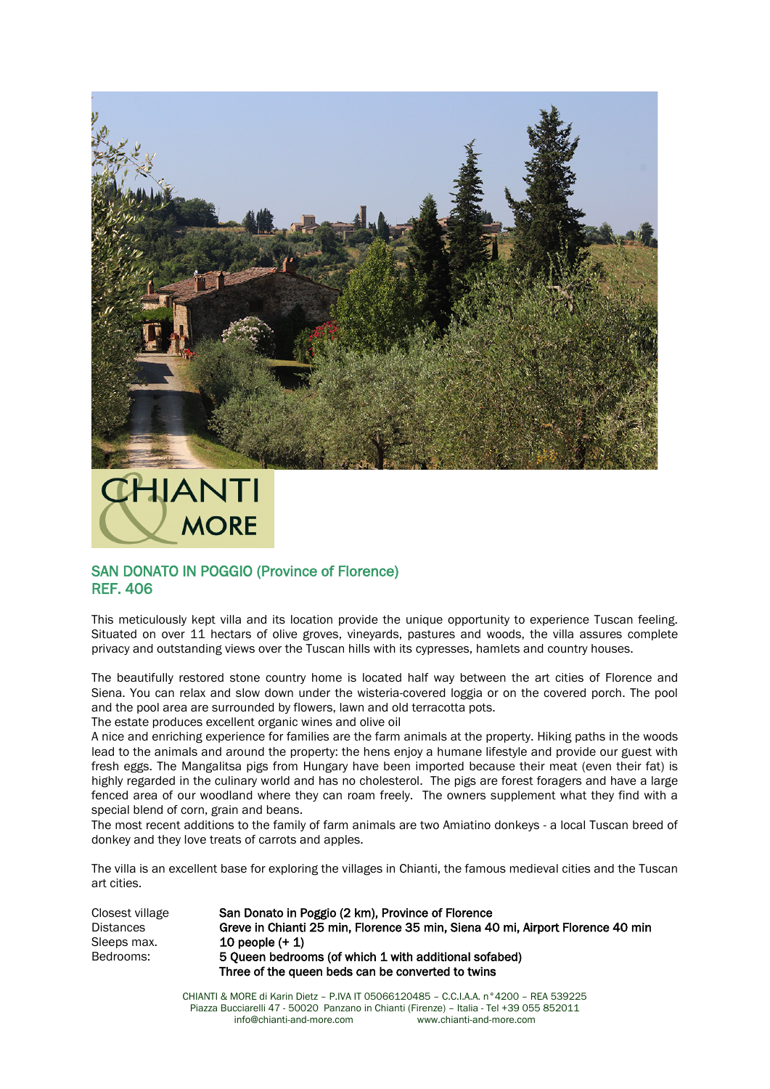

![](_page_0_Picture_1.jpeg)

## SAN DONATO IN POGGIO (Province of Florence) REF. 406

This meticulously kept villa and its location provide the unique opportunity to experience Tuscan feeling. Situated on over 11 hectars of olive groves, vineyards, pastures and woods, the villa assures complete privacy and outstanding views over the Tuscan hills with its cypresses, hamlets and country houses.

The beautifully restored stone country home is located half way between the art cities of Florence and Siena. You can relax and slow down under the wisteria-covered loggia or on the covered porch. The pool and the pool area are surrounded by flowers, lawn and old terracotta pots.

The estate produces excellent organic wines and olive oil

A nice and enriching experience for families are the farm animals at the property. Hiking paths in the woods lead to the animals and around the property: the hens enjoy a humane lifestyle and provide our guest with fresh eggs. The Mangalitsa pigs from Hungary have been imported because their meat (even their fat) is highly regarded in the culinary world and has no cholesterol. The pigs are forest foragers and have a large fenced area of our woodland where they can roam freely. The owners supplement what they find with a special blend of corn, grain and beans.

The most recent additions to the family of farm animals are two Amiatino donkeys - a local Tuscan breed of donkey and they love treats of carrots and apples.

The villa is an excellent base for exploring the villages in Chianti, the famous medieval cities and the Tuscan art cities.

| Closest village  | San Donato in Poggio (2 km). Province of Florence                              |
|------------------|--------------------------------------------------------------------------------|
| <b>Distances</b> | Greve in Chianti 25 min. Florence 35 min. Siena 40 mi. Airport Florence 40 min |
| Sleeps max.      | 10 people $(+1)$                                                               |
| Bedrooms:        | 5 Queen bedrooms (of which 1 with additional sofabed)                          |
|                  | Three of the queen beds can be converted to twins                              |

CHIANTI & MORE di Karin Dietz – P.IVA IT 05066120485 – C.C.I.A.A. n°4200 – REA 539225 Piazza Bucciarelli 47 - 50020 Panzano in Chianti (Firenze) – Italia - Tel +39 055 852011 info@chianti-and-more.com